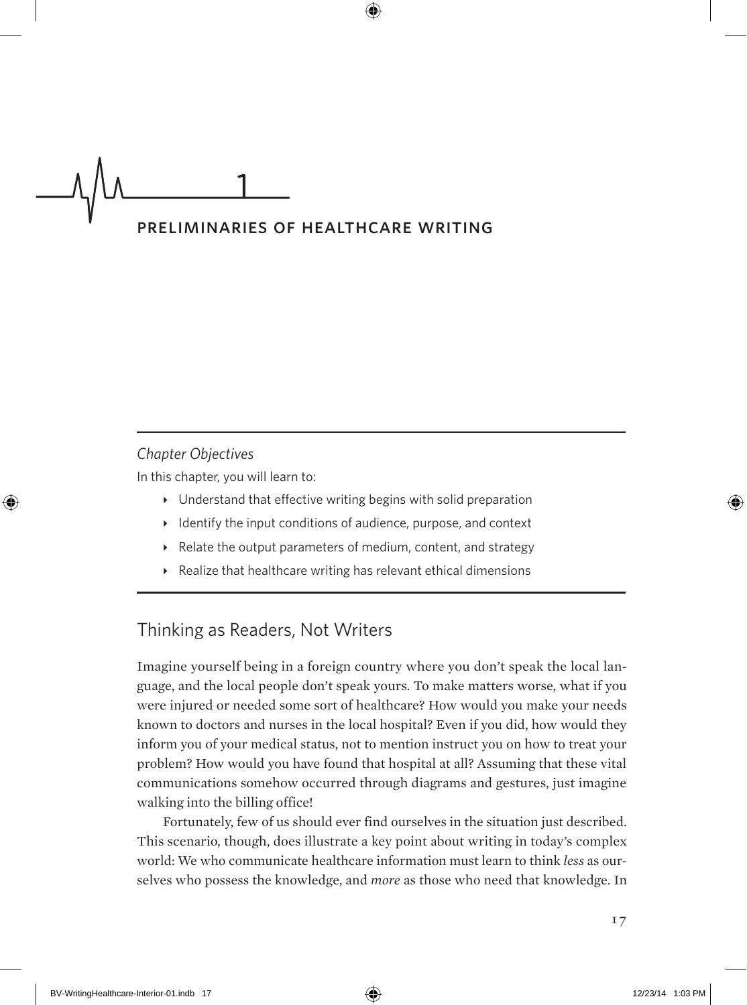

### *Chapter Objectives*

In this chapter, you will learn to:

- **<sup>∞</sup>** Understand that effective writing begins with solid preparation
- **<sup>∞</sup>** Identify the input conditions of audience, purpose, and context
- **<sup>∞</sup>** Relate the output parameters of medium, content, and strategy
- **<sup>∞</sup>** Realize that healthcare writing has relevant ethical dimensions

## Thinking as Readers, Not Writers

Imagine yourself being in a foreign country where you don't speak the local language, and the local people don't speak yours. To make matters worse, what if you were injured or needed some sort of healthcare? How would you make your needs known to doctors and nurses in the local hospital? Even if you did, how would they inform you of your medical status, not to mention instruct you on how to treat your problem? How would you have found that hospital at all? Assuming that these vital communications somehow occurred through diagrams and gestures, just imagine walking into the billing office!

Fortunately, few of us should ever find ourselves in the situation just described. This scenario, though, does illustrate a key point about writing in today's complex world: We who communicate healthcare information must learn to think *less* as ourselves who possess the knowledge, and *more* as those who need that knowledge. In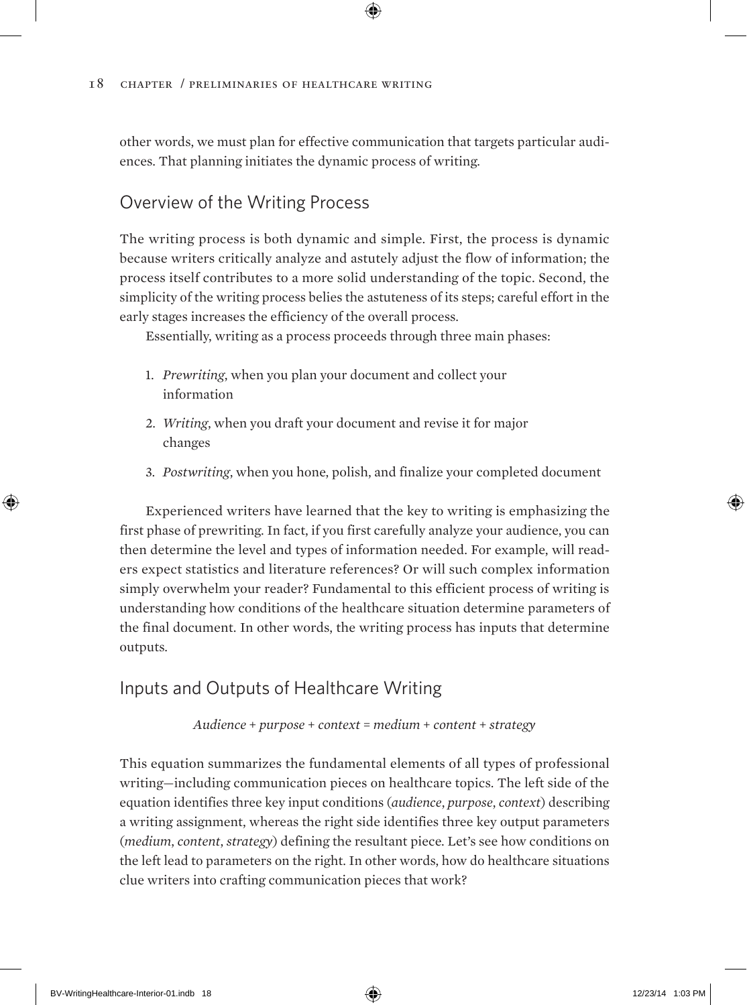other words, we must plan for effective communication that targets particular audiences. That planning initiates the dynamic process of writing.

### Overview of the Writing Process

The writing process is both dynamic and simple. First, the process is dynamic because writers critically analyze and astutely adjust the flow of information; the process itself contributes to a more solid understanding of the topic. Second, the simplicity of the writing process belies the astuteness of its steps; careful effort in the early stages increases the efficiency of the overall process.

Essentially, writing as a process proceeds through three main phases:

- 1. *Prewriting*, when you plan your document and collect your information
- 2. *Writing*, when you draft your document and revise it for major changes
- 3. *Postwriting*, when you hone, polish, and finalize your completed document

Experienced writers have learned that the key to writing is emphasizing the first phase of prewriting. In fact, if you first carefully analyze your audience, you can then determine the level and types of information needed. For example, will readers expect statistics and literature references? Or will such complex information simply overwhelm your reader? Fundamental to this efficient process of writing is understanding how conditions of the healthcare situation determine parameters of the final document. In other words, the writing process has inputs that determine outputs.

## Inputs and Outputs of Healthcare Writing

*Audience* + *purpose* + *context* = *medium* + *content* + *strategy*

This equation summarizes the fundamental elements of all types of professional writing—including communication pieces on healthcare topics. The left side of the equation identifies three key input conditions (*audience*, *purpose*, *context*) describing a writing assignment, whereas the right side identifies three key output parameters (*medium*, *content*, *strategy*) defining the resultant piece. Let's see how conditions on the left lead to parameters on the right. In other words, how do healthcare situations clue writers into crafting communication pieces that work?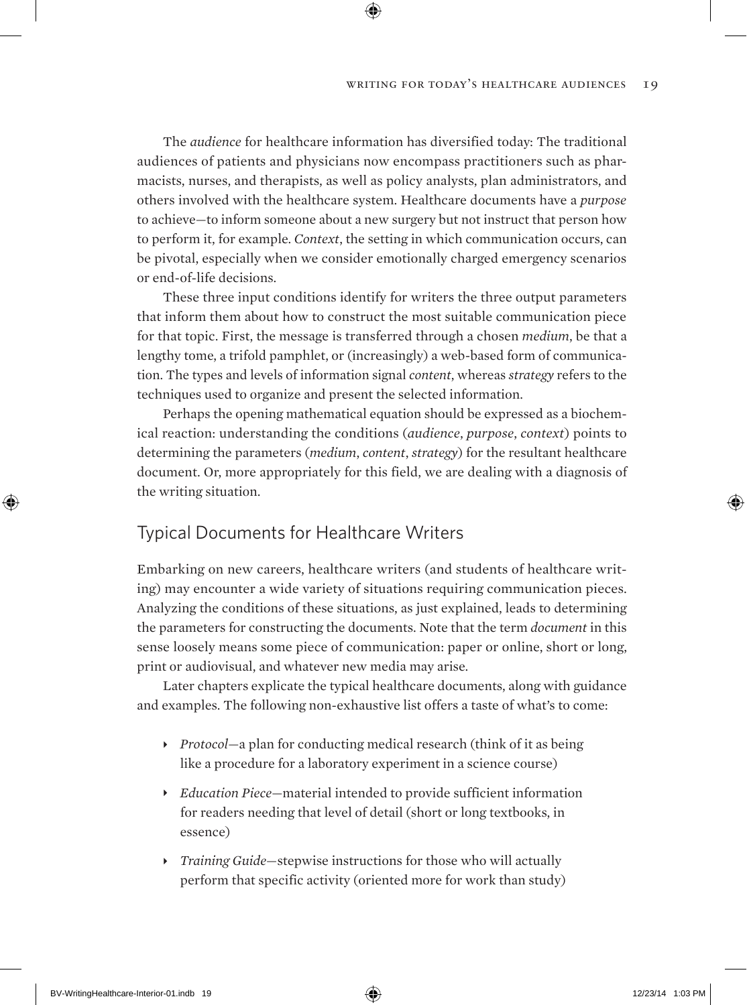The *audience* for healthcare information has diversified today: The traditional audiences of patients and physicians now encompass practitioners such as pharmacists, nurses, and therapists, as well as policy analysts, plan administrators, and others involved with the healthcare system. Healthcare documents have a *purpose* to achieve—to inform someone about a new surgery but not instruct that person how to perform it, for example. *Context*, the setting in which communication occurs, can be pivotal, especially when we consider emotionally charged emergency scenarios or end-of-life decisions.

These three input conditions identify for writers the three output parameters that inform them about how to construct the most suitable communication piece for that topic. First, the message is transferred through a chosen *medium*, be that a lengthy tome, a trifold pamphlet, or (increasingly) a web-based form of communication. The types and levels of information signal *content*, whereas *strategy* refers to the techniques used to organize and present the selected information.

Perhaps the opening mathematical equation should be expressed as a biochemical reaction: understanding the conditions (*audience*, *purpose*, *context*) points to determining the parameters (*medium*, *content*, *strategy*) for the resultant healthcare document. Or, more appropriately for this field, we are dealing with a diagnosis of the writing situation.

### Typical Documents for Healthcare Writers

Embarking on new careers, healthcare writers (and students of healthcare writing) may encounter a wide variety of situations requiring communication pieces. Analyzing the conditions of these situations, as just explained, leads to determining the parameters for constructing the documents. Note that the term *document* in this sense loosely means some piece of communication: paper or online, short or long, print or audiovisual, and whatever new media may arise.

Later chapters explicate the typical healthcare documents, along with guidance and examples. The following non-exhaustive list offers a taste of what's to come:

- **<sup>∞</sup>** *Protocol*—a plan for conducting medical research (think of it as being like a procedure for a laboratory experiment in a science course)
- **<sup>∞</sup>** *Education Piece*—material intended to provide sufficient information for readers needing that level of detail (short or long textbooks, in essence)
- **<sup>∞</sup>** *Training Guide*—stepwise instructions for those who will actually perform that specific activity (oriented more for work than study)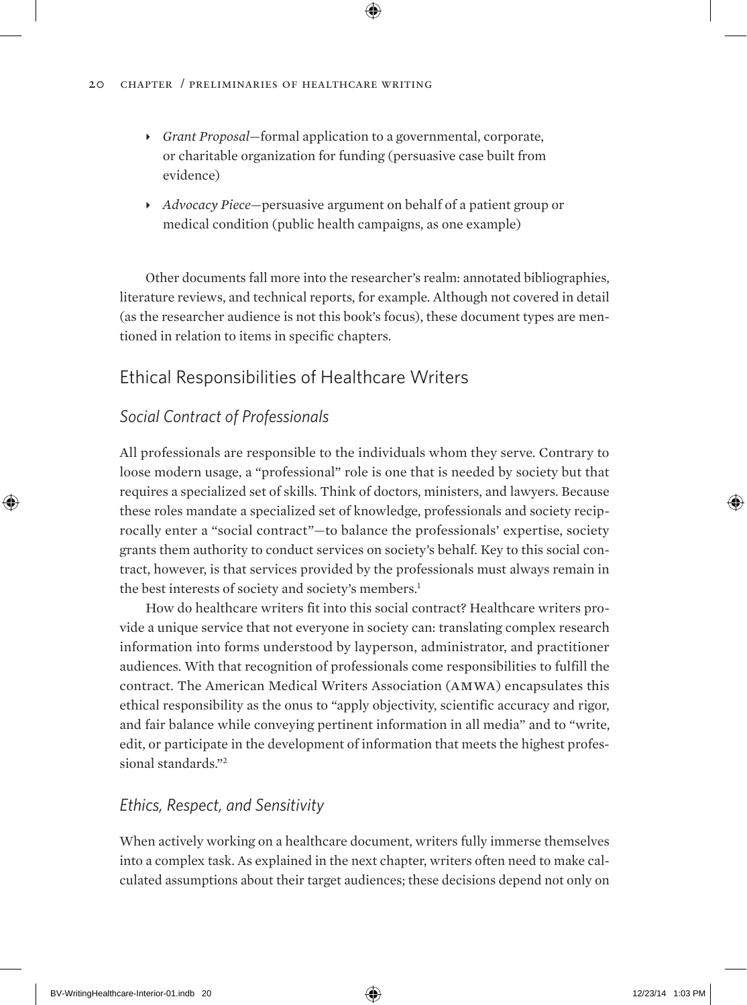- **<sup>∞</sup>** *Grant Proposal*—formal application to a governmental, corporate, or charitable organization for funding (persuasive case built from evidence)
- **<sup>∞</sup>** *Advocacy Piece*—persuasive argument on behalf of a patient group or medical condition (public health campaigns, as one example)

Other documents fall more into the researcher's realm: annotated bibliographies, literature reviews, and technical reports, for example. Although not covered in detail (as the researcher audience is not this book's focus), these document types are mentioned in relation to items in specific chapters.

## Ethical Responsibilities of Healthcare Writers

### *Social Contract of Professionals*

All professionals are responsible to the individuals whom they serve. Contrary to loose modern usage, a "professional" role is one that is needed by society but that requires a specialized set of skills. Think of doctors, ministers, and lawyers. Because these roles mandate a specialized set of knowledge, professionals and society reciprocally enter a "social contract"—to balance the professionals' expertise, society grants them authority to conduct services on society's behalf. Key to this social contract, however, is that services provided by the professionals must always remain in the best interests of society and society's members.<sup>1</sup>

How do healthcare writers fit into this social contract? Healthcare writers provide a unique service that not everyone in society can: translating complex research information into forms understood by layperson, administrator, and practitioner audiences. With that recognition of professionals come responsibilities to fulfill the contract. The American Medical Writers Association (amwa) encapsulates this ethical responsibility as the onus to "apply objectivity, scientific accuracy and rigor, and fair balance while conveying pertinent information in all media" and to "write, edit, or participate in the development of information that meets the highest professional standards."2

### *Ethics, Respect, and Sensitivity*

When actively working on a healthcare document, writers fully immerse themselves into a complex task. As explained in the next chapter, writers often need to make calculated assumptions about their target audiences; these decisions depend not only on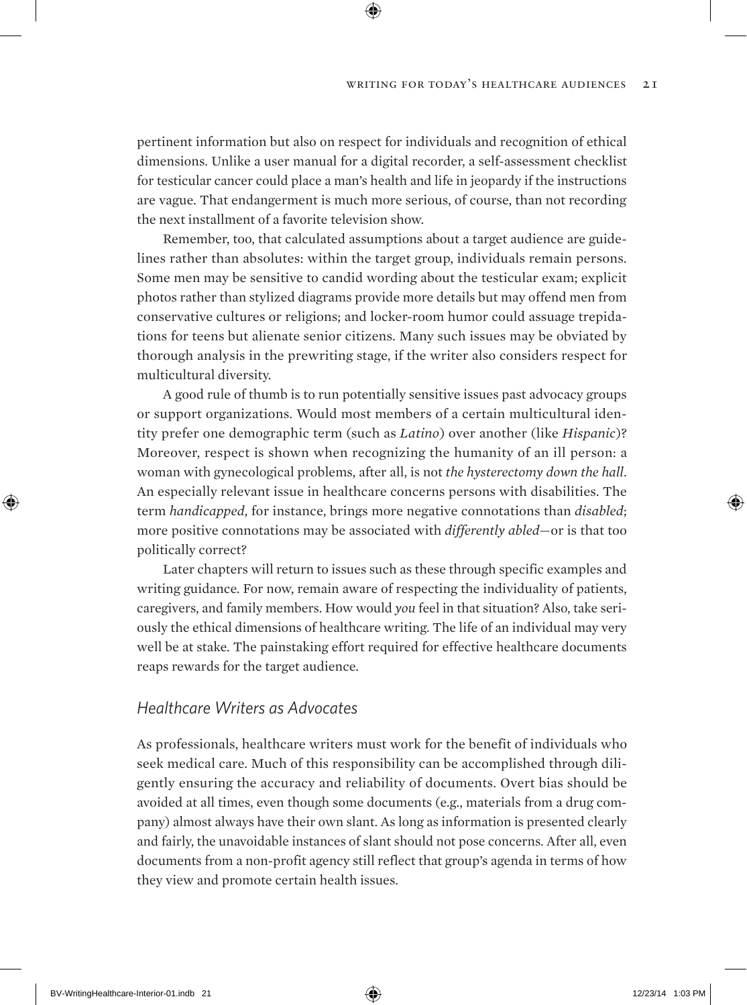pertinent information but also on respect for individuals and recognition of ethical dimensions. Unlike a user manual for a digital recorder, a self-assessment checklist for testicular cancer could place a man's health and life in jeopardy if the instructions are vague. That endangerment is much more serious, of course, than not recording the next installment of a favorite television show.

Remember, too, that calculated assumptions about a target audience are guidelines rather than absolutes: within the target group, individuals remain persons. Some men may be sensitive to candid wording about the testicular exam; explicit photos rather than stylized diagrams provide more details but may offend men from conservative cultures or religions; and locker-room humor could assuage trepidations for teens but alienate senior citizens. Many such issues may be obviated by thorough analysis in the prewriting stage, if the writer also considers respect for multicultural diversity.

A good rule of thumb is to run potentially sensitive issues past advocacy groups or support organizations. Would most members of a certain multicultural identity prefer one demographic term (such as *Latino*) over another (like *Hispanic*)? Moreover, respect is shown when recognizing the humanity of an ill person: a woman with gynecological problems, after all, is not *the hysterectomy down the hall*. An especially relevant issue in healthcare concerns persons with disabilities. The term *handicapped*, for instance, brings more negative connotations than *disabled*; more positive connotations may be associated with *differently abled*—or is that too politically correct?

Later chapters will return to issues such as these through specific examples and writing guidance. For now, remain aware of respecting the individuality of patients, caregivers, and family members. How would *you* feel in that situation? Also, take seriously the ethical dimensions of healthcare writing. The life of an individual may very well be at stake. The painstaking effort required for effective healthcare documents reaps rewards for the target audience.

#### *Healthcare Writers as Advocates*

As professionals, healthcare writers must work for the benefit of individuals who seek medical care. Much of this responsibility can be accomplished through diligently ensuring the accuracy and reliability of documents. Overt bias should be avoided at all times, even though some documents (e.g., materials from a drug company) almost always have their own slant. As long as information is presented clearly and fairly, the unavoidable instances of slant should not pose concerns. After all, even documents from a non-profit agency still reflect that group's agenda in terms of how they view and promote certain health issues.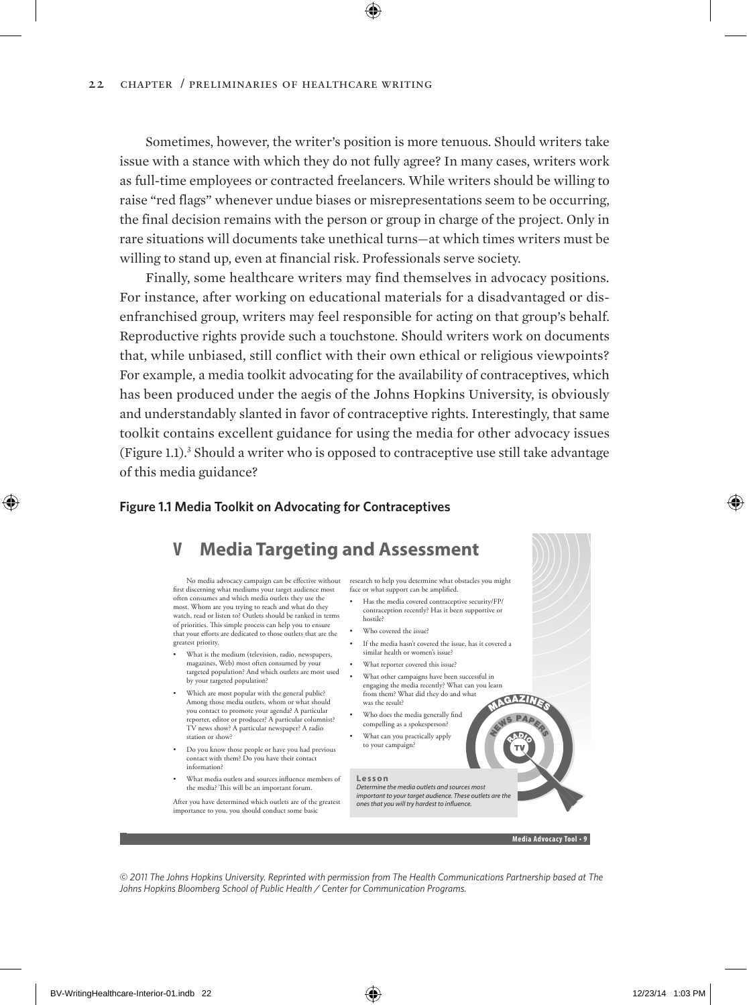Sometimes, however, the writer's position is more tenuous. Should writers take issue with a stance with which they do not fully agree? In many cases, writers work as full-time employees or contracted freelancers. While writers should be willing to raise "red flags" whenever undue biases or misrepresentations seem to be occurring, the final decision remains with the person or group in charge of the project. Only in rare situations will documents take unethical turns—at which times writers must be willing to stand up, even at financial risk. Professionals serve society.

Finally, some healthcare writers may find themselves in advocacy positions. For instance, after working on educational materials for a disadvantaged or disenfranchised group, writers may feel responsible for acting on that group's behalf. Reproductive rights provide such a touchstone. Should writers work on documents that, while unbiased, still conflict with their own ethical or religious viewpoints? For example, a media toolkit advocating for the availability of contraceptives, which has been produced under the aegis of the Johns Hopkins University, is obviously and understandably slanted in favor of contraceptive rights. Interestingly, that same toolkit contains excellent guidance for using the media for other advocacy issues (Figure 1.1).<sup>3</sup> Should a writer who is opposed to contraceptive use still take advantage of this media guidance?

#### **Figure 1.1 Media Toolkit on Advocating for Contraceptives**



 **• Media Advocacy Tool Media Advocacy Tool •** 

*© 2011 The Johns Hopkins University. Reprinted with permission from The Health Communications Partnership based at The Johns Hopkins Bloomberg School of Public Health / Center for Communication Programs.*

### **V Media Targeting and Assessment**

first discerning what mediums your target audience most often consumes and which media outlets they use the most. Whom are you trying to reach and what do they watch, read or listen to? Outlets should be ranked in terms of priorities. This simple process can help you to ensure that your efforts are dedicated to those outlets that are the greatest priority.

- What is the medium (television, radio, newspapers, magazines, Web) most often consumed by your targeted population? And which outlets are most used by your targeted population?
- Which are most popular with the general public? Among those media outlets, whom or what should you contact to promote your agenda? A particular reporter, editor or producer? A particular columnist? TV news show? A particular newspaper? A radio station or show?
- Do you know those people or have you had previous contact with them? Do you have their contact information?
- What media outlets and sources influence members of the media? This will be an important forum.

After you have determined which outlets are of the greatest importance to you, you should conduct some basic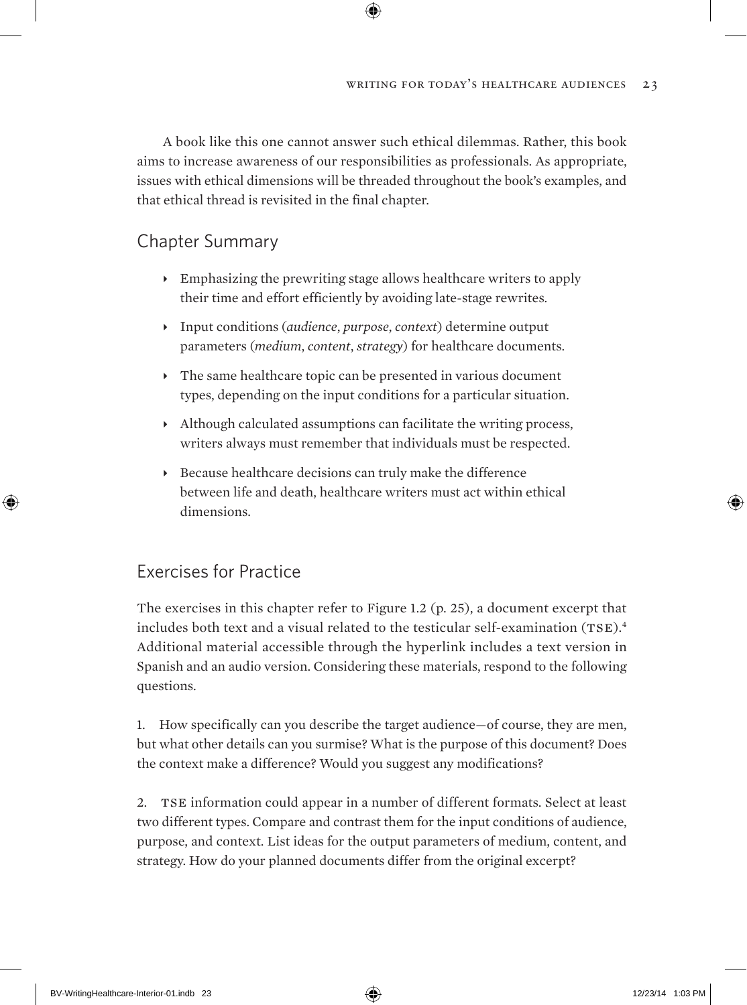A book like this one cannot answer such ethical dilemmas. Rather, this book aims to increase awareness of our responsibilities as professionals. As appropriate, issues with ethical dimensions will be threaded throughout the book's examples, and that ethical thread is revisited in the final chapter.

# Chapter Summary

- **<sup>∞</sup>** Emphasizing the prewriting stage allows healthcare writers to apply their time and effort efficiently by avoiding late-stage rewrites.
- **<sup>∞</sup>** Input conditions (*audience*, *purpose*, *context*) determine output parameters (*medium*, *content*, *strategy*) for healthcare documents.
- **<sup>∞</sup>** The same healthcare topic can be presented in various document types, depending on the input conditions for a particular situation.
- **<sup>∞</sup>** Although calculated assumptions can facilitate the writing process, writers always must remember that individuals must be respected.
- **<sup>∞</sup>** Because healthcare decisions can truly make the difference between life and death, healthcare writers must act within ethical dimensions.

# Exercises for Practice

The exercises in this chapter refer to Figure 1.2 (p. 25), a document excerpt that includes both text and a visual related to the testicular self-examination (TSE).<sup>4</sup> Additional material accessible through the hyperlink includes a text version in Spanish and an audio version. Considering these materials, respond to the following questions.

1. How specifically can you describe the target audience—of course, they are men, but what other details can you surmise? What is the purpose of this document? Does the context make a difference? Would you suggest any modifications?

2. TSE information could appear in a number of different formats. Select at least two different types. Compare and contrast them for the input conditions of audience, purpose, and context. List ideas for the output parameters of medium, content, and strategy. How do your planned documents differ from the original excerpt?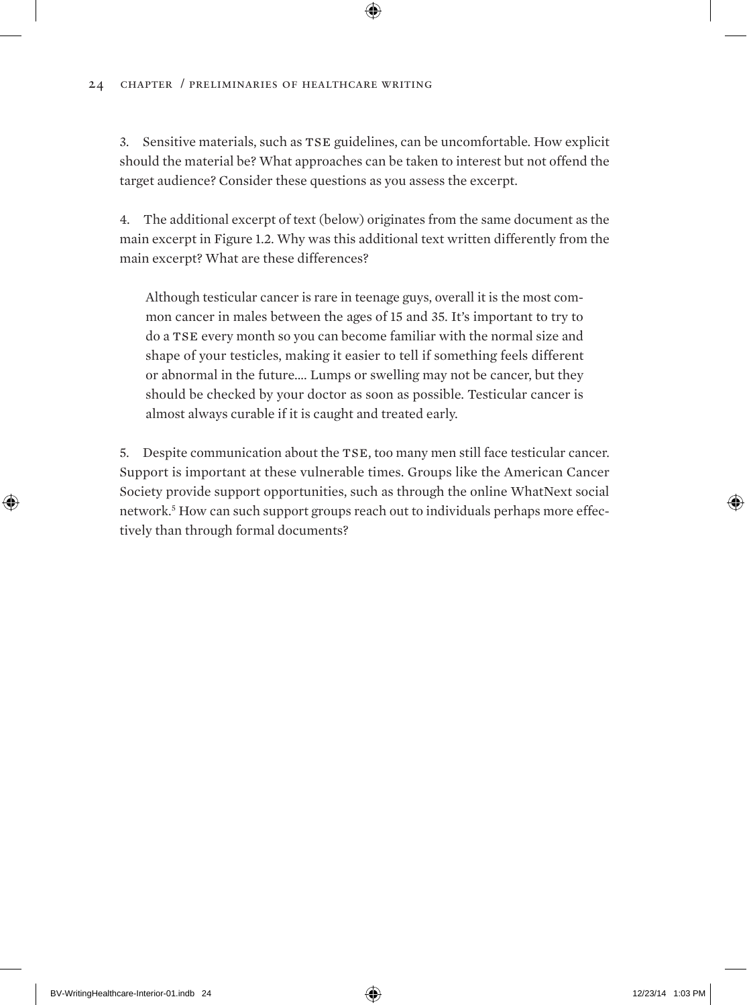3. Sensitive materials, such as tse guidelines, can be uncomfortable. How explicit should the material be? What approaches can be taken to interest but not offend the target audience? Consider these questions as you assess the excerpt.

4. The additional excerpt of text (below) originates from the same document as the main excerpt in Figure 1.2. Why was this additional text written differently from the main excerpt? What are these differences?

Although testicular cancer is rare in teenage guys, overall it is the most common cancer in males between the ages of 15 and 35. It's important to try to do a TSE every month so you can become familiar with the normal size and shape of your testicles, making it easier to tell if something feels different or abnormal in the future.... Lumps or swelling may not be cancer, but they should be checked by your doctor as soon as possible. Testicular cancer is almost always curable if it is caught and treated early.

5. Despite communication about the tse, too many men still face testicular cancer. Support is important at these vulnerable times. Groups like the American Cancer Society provide support opportunities, such as through the online WhatNext social network.5 How can such support groups reach out to individuals perhaps more effectively than through formal documents?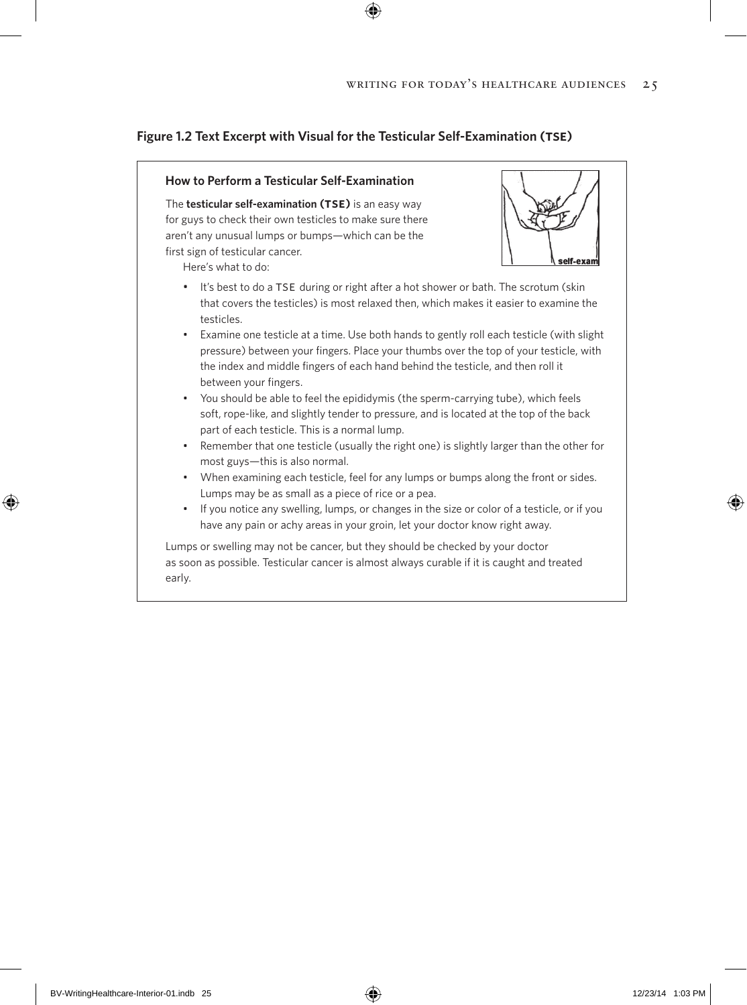#### **Figure 1.2 Text Excerpt with Visual for the Testicular Self-Examination (tse)**

### **How to Perform a Testicular Self-Examination** The **testicular self-examination (tse)** is an easy way for guys to check their own testicles to make sure there aren't any unusual lumps or bumps—which can be the first sign of testicular cancer. Here's what to do:

- It's best to do a TSE during or right after a hot shower or bath. The scrotum (skin that covers the testicles) is most relaxed then, which makes it easier to examine the testicles.
- Examine one testicle at a time. Use both hands to gently roll each testicle (with slight pressure) between your fingers. Place your thumbs over the top of your testicle, with the index and middle fingers of each hand behind the testicle, and then roll it between your fingers.
- You should be able to feel the epididymis (the sperm-carrying tube), which feels soft, rope-like, and slightly tender to pressure, and is located at the top of the back part of each testicle. This is a normal lump.
- Remember that one testicle (usually the right one) is slightly larger than the other for most guys—this is also normal.
- When examining each testicle, feel for any lumps or bumps along the front or sides. Lumps may be as small as a piece of rice or a pea.
- If you notice any swelling, lumps, or changes in the size or color of a testicle, or if you have any pain or achy areas in your groin, let your doctor know right away.

Lumps or swelling may not be cancer, but they should be checked by your doctor as soon as possible. Testicular cancer is almost always curable if it is caught and treated early.